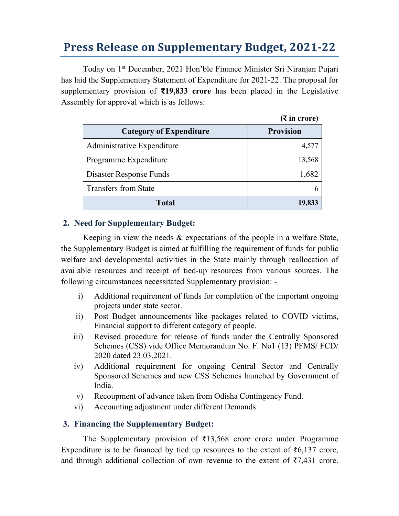# **Press Release on Supplementary Budget, 2021‐22**

Today on 1st December, 2021 Hon'ble Finance Minister Sri Niranjan Pujari has laid the Supplementary Statement of Expenditure for 2021-22. The proposal for supplementary provision of **₹19,833 crore** has been placed in the Legislative Assembly for approval which is as follows:

|                                | $(3\overline{5})$ in crore) |  |
|--------------------------------|-----------------------------|--|
| <b>Category of Expenditure</b> | <b>Provision</b>            |  |
| Administrative Expenditure     | 4,577                       |  |
| Programme Expenditure          | 13,568                      |  |
| Disaster Response Funds        | 1,682                       |  |
| <b>Transfers from State</b>    |                             |  |
| Total                          | 19,833                      |  |

### **2. Need for Supplementary Budget:**

Keeping in view the needs & expectations of the people in a welfare State, the Supplementary Budget is aimed at fulfilling the requirement of funds for public welfare and developmental activities in the State mainly through reallocation of available resources and receipt of tied-up resources from various sources. The following circumstances necessitated Supplementary provision: -

- i) Additional requirement of funds for completion of the important ongoing projects under state sector.
- ii) Post Budget announcements like packages related to COVID victims, Financial support to different category of people.
- iii) Revised procedure for release of funds under the Centrally Sponsored Schemes (CSS) vide Office Memorandum No. F. No1 (13) PFMS/ FCD/ 2020 dated 23.03.2021.
- iv) Additional requirement for ongoing Central Sector and Centrally Sponsored Schemes and new CSS Schemes launched by Government of India.
- v) Recoupment of advance taken from Odisha Contingency Fund.
- vi) Accounting adjustment under different Demands.

#### **3. Financing the Supplementary Budget:**

The Supplementary provision of ₹13,568 crore crore under Programme Expenditure is to be financed by tied up resources to the extent of  $\bar{\epsilon}6,137$  crore, and through additional collection of own revenue to the extent of  $\overline{57,431}$  crore.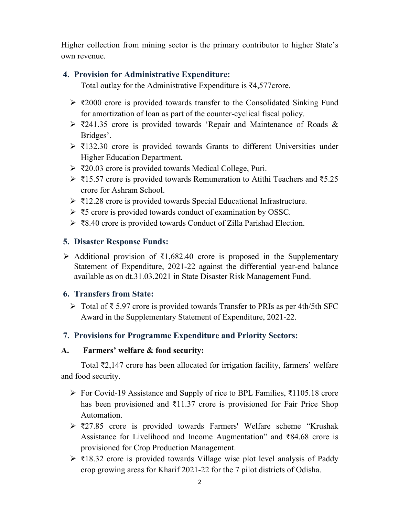Higher collection from mining sector is the primary contributor to higher State's own revenue.

## **4. Provision for Administrative Expenditure:**

Total outlay for the Administrative Expenditure is ₹4,577crore.

- $\geq$  ₹2000 crore is provided towards transfer to the Consolidated Sinking Fund for amortization of loan as part of the counter-cyclical fiscal policy.
- $\geq$  ₹241.35 crore is provided towards 'Repair and Maintenance of Roads & Bridges'.
- $\geq$  ₹132.30 crore is provided towards Grants to different Universities under Higher Education Department.
- ₹20.03 crore is provided towards Medical College, Puri.
- ₹15.57 crore is provided towards Remuneration to Atithi Teachers and ₹5.25 crore for Ashram School.
- ₹12.28 crore is provided towards Special Educational Infrastructure.
- ₹5 crore is provided towards conduct of examination by OSSC.
- ₹8.40 crore is provided towards Conduct of Zilla Parishad Election.

# **5. Disaster Response Funds:**

Additional provision of  $\bar{\mathfrak{z}}1,682.40$  crore is proposed in the Supplementary Statement of Expenditure, 2021-22 against the differential year-end balance available as on dt.31.03.2021 in State Disaster Risk Management Fund.

# **6. Transfers from State:**

 Total of ₹ 5.97 crore is provided towards Transfer to PRIs as per 4th/5th SFC Award in the Supplementary Statement of Expenditure, 2021-22.

# **7. Provisions for Programme Expenditure and Priority Sectors:**

#### **A. Farmers' welfare & food security:**

Total ₹2,147 crore has been allocated for irrigation facility, farmers' welfare and food security.

- For Covid-19 Assistance and Supply of rice to BPL Families, ₹1105.18 crore has been provisioned and ₹11.37 crore is provisioned for Fair Price Shop Automation.
- ₹27.85 crore is provided towards Farmers' Welfare scheme "Krushak Assistance for Livelihood and Income Augmentation" and ₹84.68 crore is provisioned for Crop Production Management.
- $\geq$  ₹18.32 crore is provided towards Village wise plot level analysis of Paddy crop growing areas for Kharif 2021-22 for the 7 pilot districts of Odisha.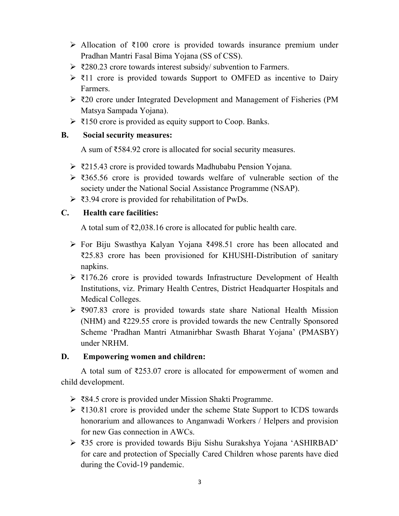- Allocation of ₹100 crore is provided towards insurance premium under Pradhan Mantri Fasal Bima Yojana (SS of CSS).
- $\geq$  ₹280.23 crore towards interest subsidy/ subvention to Farmers.
- $\geq$  ₹11 crore is provided towards Support to OMFED as incentive to Dairy Farmers.
- ₹20 crore under Integrated Development and Management of Fisheries (PM Matsya Sampada Yojana).
- $\triangleright$  ₹150 crore is provided as equity support to Coop. Banks.

#### **B. Social security measures:**

A sum of ₹584.92 crore is allocated for social security measures.

- ₹215.43 crore is provided towards Madhubabu Pension Yojana.
- ₹365.56 crore is provided towards welfare of vulnerable section of the society under the National Social Assistance Programme (NSAP).
- ₹3.94 crore is provided for rehabilitation of PwDs.

# **C. Health care facilities:**

A total sum of ₹2,038.16 crore is allocated for public health care.

- For Biju Swasthya Kalyan Yojana ₹498.51 crore has been allocated and ₹25.83 crore has been provisioned for KHUSHI-Distribution of sanitary napkins.
- $\geq 3176.26$  crore is provided towards Infrastructure Development of Health Institutions, viz. Primary Health Centres, District Headquarter Hospitals and Medical Colleges.
- ₹907.83 crore is provided towards state share National Health Mission (NHM) and ₹229.55 crore is provided towards the new Centrally Sponsored Scheme 'Pradhan Mantri Atmanirbhar Swasth Bharat Yojana' (PMASBY) under NRHM.

#### **D. Empowering women and children:**

A total sum of ₹253.07 crore is allocated for empowerment of women and child development.

- ₹84.5 crore is provided under Mission Shakti Programme.
- $\geq$  ₹130.81 crore is provided under the scheme State Support to ICDS towards honorarium and allowances to Anganwadi Workers / Helpers and provision for new Gas connection in AWCs.
- ₹35 crore is provided towards Biju Sishu Surakshya Yojana 'ASHIRBAD' for care and protection of Specially Cared Children whose parents have died during the Covid-19 pandemic.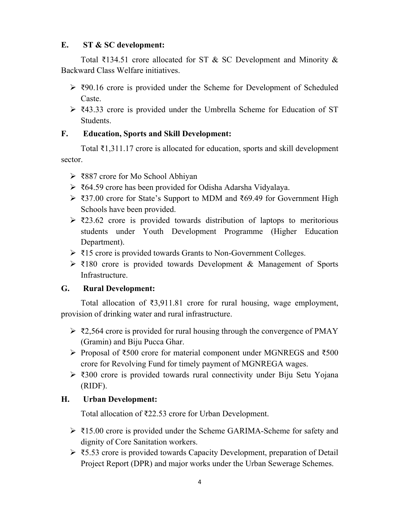#### **E. ST & SC development:**

Total ₹134.51 crore allocated for ST & SC Development and Minority & Backward Class Welfare initiatives.

- $\geq$  ₹90.16 crore is provided under the Scheme for Development of Scheduled Caste.
- ₹43.33 crore is provided under the Umbrella Scheme for Education of ST Students.

#### **F. Education, Sports and Skill Development:**

Total ₹1,311.17 crore is allocated for education, sports and skill development sector.

- ₹887 crore for Mo School Abhiyan
- ₹64.59 crore has been provided for Odisha Adarsha Vidyalaya.
- ₹37.00 crore for State's Support to MDM and ₹69.49 for Government High Schools have been provided.
- $\geq$  ₹23.62 crore is provided towards distribution of laptops to meritorious students under Youth Development Programme (Higher Education Department).
- ₹15 crore is provided towards Grants to Non-Government Colleges.
- ₹180 crore is provided towards Development & Management of Sports Infrastructure.

#### **G. Rural Development:**

Total allocation of ₹3,911.81 crore for rural housing, wage employment, provision of drinking water and rural infrastructure.

- $\geq$  ₹2,564 crore is provided for rural housing through the convergence of PMAY (Gramin) and Biju Pucca Ghar.
- Proposal of ₹500 crore for material component under MGNREGS and ₹500 crore for Revolving Fund for timely payment of MGNREGA wages.
- ₹300 crore is provided towards rural connectivity under Biju Setu Yojana (RIDF).

# **H. Urban Development:**

Total allocation of ₹22.53 crore for Urban Development.

- ₹15.00 crore is provided under the Scheme GARIMA-Scheme for safety and dignity of Core Sanitation workers.
- ₹5.53 crore is provided towards Capacity Development, preparation of Detail Project Report (DPR) and major works under the Urban Sewerage Schemes.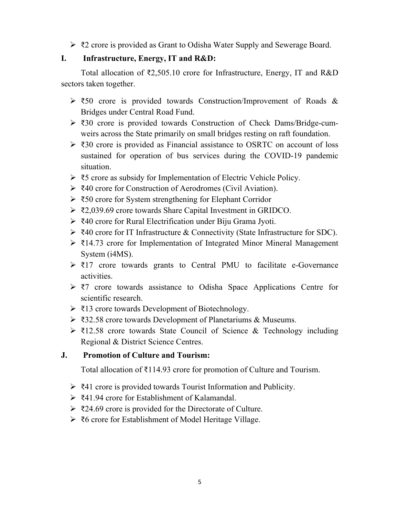₹2 crore is provided as Grant to Odisha Water Supply and Sewerage Board.

## **I. Infrastructure, Energy, IT and R&D:**

Total allocation of ₹2,505.10 crore for Infrastructure, Energy, IT and R&D sectors taken together.

- $\geq$  ₹50 crore is provided towards Construction/Improvement of Roads & Bridges under Central Road Fund.
- ₹30 crore is provided towards Construction of Check Dams/Bridge-cumweirs across the State primarily on small bridges resting on raft foundation.
- ₹30 crore is provided as Financial assistance to OSRTC on account of loss sustained for operation of bus services during the COVID-19 pandemic situation.
- ₹5 crore as subsidy for Implementation of Electric Vehicle Policy.
- ₹40 crore for Construction of Aerodromes (Civil Aviation).
- ₹50 crore for System strengthening for Elephant Corridor
- ₹2,039.69 crore towards Share Capital Investment in GRIDCO.
- ₹40 crore for Rural Electrification under Biju Grama Jyoti.
- ₹40 crore for IT Infrastructure & Connectivity (State Infrastructure for SDC).
- ₹14.73 crore for Implementation of Integrated Minor Mineral Management System (i4MS).
- $\triangleright$  ₹17 crore towards grants to Central PMU to facilitate e-Governance activities.
- ₹7 crore towards assistance to Odisha Space Applications Centre for scientific research.
- ₹13 crore towards Development of Biotechnology.
- ₹32.58 crore towards Development of Planetariums & Museums.
- ₹12.58 crore towards State Council of Science & Technology including Regional & District Science Centres.

# **J. Promotion of Culture and Tourism:**

Total allocation of ₹114.93 crore for promotion of Culture and Tourism.

- ₹41 crore is provided towards Tourist Information and Publicity.
- ₹41.94 crore for Establishment of Kalamandal.
- ₹24.69 crore is provided for the Directorate of Culture.
- ₹6 crore for Establishment of Model Heritage Village.